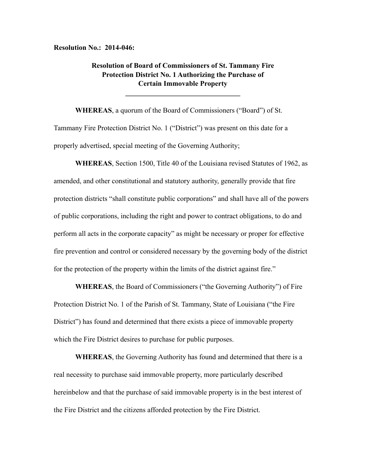**Resolution No.: 2014-046:**

## **Resolution of Board of Commissioners of St. Tammany Fire Protection District No. 1 Authorizing the Purchase of Certain Immovable Property**

**\_\_\_\_\_\_\_\_\_\_\_\_\_\_\_\_\_\_\_\_\_\_\_\_\_\_\_\_\_\_\_\_**

**WHEREAS**, a quorum of the Board of Commissioners ("Board") of St. Tammany Fire Protection District No. 1 ("District") was present on this date for a properly advertised, special meeting of the Governing Authority;

**WHEREAS**, Section 1500, Title 40 of the Louisiana revised Statutes of 1962, as amended, and other constitutional and statutory authority, generally provide that fire protection districts "shall constitute public corporations" and shall have all of the powers of public corporations, including the right and power to contract obligations, to do and perform all acts in the corporate capacity" as might be necessary or proper for effective fire prevention and control or considered necessary by the governing body of the district for the protection of the property within the limits of the district against fire."

**WHEREAS**, the Board of Commissioners ("the Governing Authority") of Fire Protection District No. 1 of the Parish of St. Tammany, State of Louisiana ("the Fire District") has found and determined that there exists a piece of immovable property which the Fire District desires to purchase for public purposes.

**WHEREAS**, the Governing Authority has found and determined that there is a real necessity to purchase said immovable property, more particularly described hereinbelow and that the purchase of said immovable property is in the best interest of the Fire District and the citizens afforded protection by the Fire District.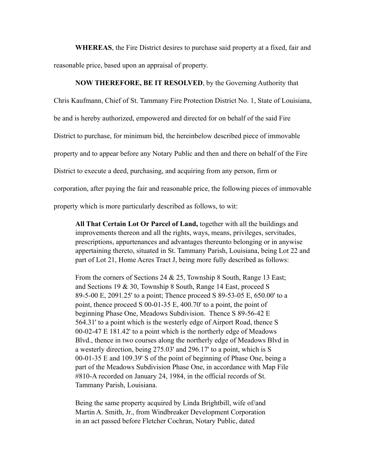**WHEREAS**, the Fire District desires to purchase said property at a fixed, fair and reasonable price, based upon an appraisal of property.

## **NOW THEREFORE, BE IT RESOLVED**, by the Governing Authority that

Chris Kaufmann, Chief of St. Tammany Fire Protection District No. 1, State of Louisiana,

be and is hereby authorized, empowered and directed for on behalf of the said Fire

District to purchase, for minimum bid, the hereinbelow described piece of immovable

property and to appear before any Notary Public and then and there on behalf of the Fire

District to execute a deed, purchasing, and acquiring from any person, firm or

corporation, after paying the fair and reasonable price, the following pieces of immovable

property which is more particularly described as follows, to wit:

**All That Certain Lot Or Parcel of Land,** together with all the buildings and improvements thereon and all the rights, ways, means, privileges, servitudes, prescriptions, appurtenances and advantages thereunto belonging or in anywise appertaining thereto, situated in St. Tammany Parish, Louisiana, being Lot 22 and part of Lot 21, Home Acres Tract J, being more fully described as follows:

From the corners of Sections 24 & 25, Township 8 South, Range 13 East; and Sections 19 & 30, Township 8 South, Range 14 East, proceed S 89-5-00 E, 2091.25' to a point; Thence proceed S 89-53-05 E, 650.00' to a point, thence proceed S 00-01-35 E, 400.70' to a point, the point of beginning Phase One, Meadows Subdivision. Thence S 89-56-42 E 564.31' to a point which is the westerly edge of Airport Road, thence S 00-02-47 E 181.42' to a point which is the northerly edge of Meadows Blvd., thence in two courses along the northerly edge of Meadows Blvd in a westerly direction, being 275.03' and 296.17' to a point, which is S 00-01-35 E and 109.39' S of the point of beginning of Phase One, being a part of the Meadows Subdivision Phase One, in accordance with Map File #810-A recorded on January 24, 1984, in the official records of St. Tammany Parish, Louisiana.

Being the same property acquired by Linda Brightbill, wife of/and Martin A. Smith, Jr., from Windbreaker Development Corporation in an act passed before Fletcher Cochran, Notary Public, dated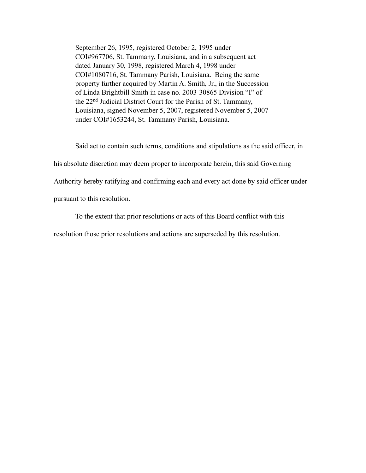September 26, 1995, registered October 2, 1995 under COI#967706, St. Tammany, Louisiana, and in a subsequent act dated January 30, 1998, registered March 4, 1998 under COI#1080716, St. Tammany Parish, Louisiana. Being the same property further acquired by Martin A. Smith, Jr., in the Succession of Linda Brightbill Smith in case no. 2003-30865 Division "I" of the 22nd Judicial District Court for the Parish of St. Tammany, Louisiana, signed November 5, 2007, registered November 5, 2007 under COI#1653244, St. Tammany Parish, Louisiana.

 Said act to contain such terms, conditions and stipulations as the said officer, in his absolute discretion may deem proper to incorporate herein, this said Governing Authority hereby ratifying and confirming each and every act done by said officer under pursuant to this resolution.

To the extent that prior resolutions or acts of this Board conflict with this

resolution those prior resolutions and actions are superseded by this resolution.